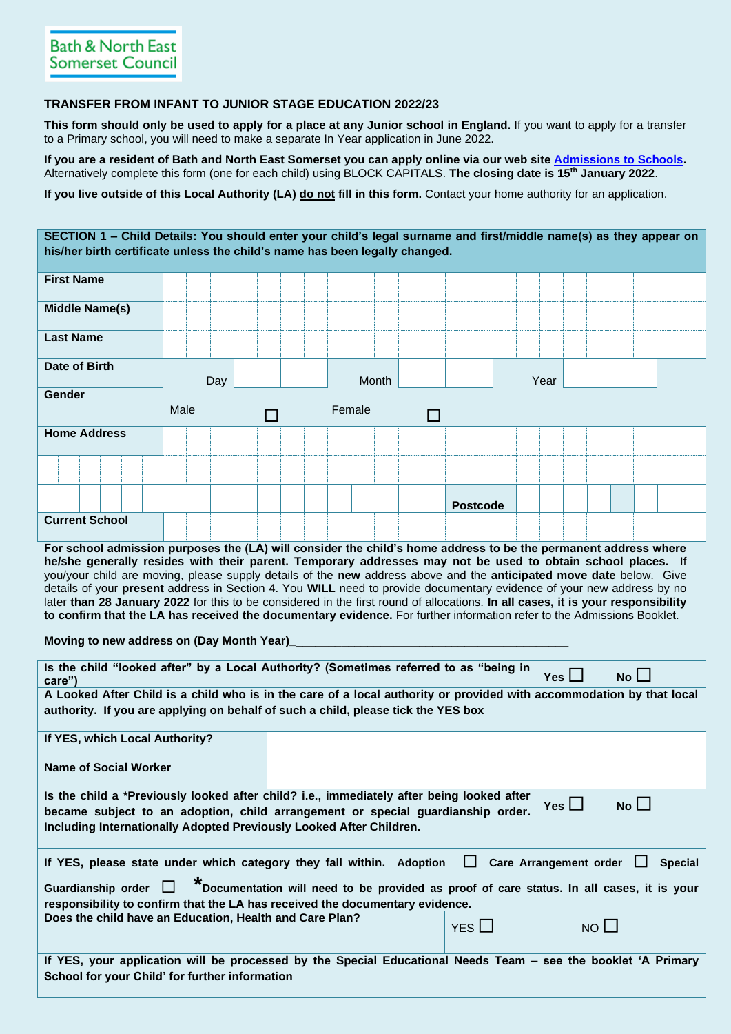## **TRANSFER FROM INFANT TO JUNIOR STAGE EDUCATION 2022/23**

**This form should only be used to apply for a place at any Junior school in England.** If you want to apply for a transfer to a Primary school, you will need to make a separate In Year application in June 2022.

**If you are a resident of Bath and North East Somerset you can apply online via our web site [Admissions to Schools.](https://beta.bathnes.gov.uk/school-admissions)**  Alternatively complete this form (one for each child) using BLOCK CAPITALS. **The closing date is 15th January 2022**.

**If you live outside of this Local Authority (LA) do not fill in this form.** Contact your home authority for an application.

| SECTION 1 - Child Details: You should enter your child's legal surname and first/middle name(s) as they appear on<br>his/her birth certificate unless the child's name has been legally changed. |      |        |                 |      |  |
|--------------------------------------------------------------------------------------------------------------------------------------------------------------------------------------------------|------|--------|-----------------|------|--|
| <b>First Name</b>                                                                                                                                                                                |      |        |                 |      |  |
| <b>Middle Name(s)</b>                                                                                                                                                                            |      |        |                 |      |  |
| <b>Last Name</b>                                                                                                                                                                                 |      |        |                 |      |  |
| Date of Birth                                                                                                                                                                                    | Day  | Month  |                 | Year |  |
| Gender                                                                                                                                                                                           | Male | Female |                 |      |  |
| <b>Home Address</b>                                                                                                                                                                              |      |        |                 |      |  |
|                                                                                                                                                                                                  |      |        |                 |      |  |
|                                                                                                                                                                                                  |      |        | <b>Postcode</b> |      |  |
| <b>Current School</b>                                                                                                                                                                            |      |        |                 |      |  |

**For school admission purposes the (LA) will consider the child's home address to be the permanent address where he/she generally resides with their parent. Temporary addresses may not be used to obtain school places.** If you/your child are moving, please supply details of the **new** address above and the **anticipated move date** below. Give details of your **present** address in Section 4. You **WILL** need to provide documentary evidence of your new address by no later **than 28 January 2022** for this to be considered in the first round of allocations. **In all cases, it is your responsibility to confirm that the LA has received the documentary evidence.** For further information refer to the Admissions Booklet.

**Moving to new address on (Day Month Year)** 

| Is the child "looked after" by a Local Authority? (Sometimes referred to as "being in<br>care")                        |  | No <sub>l</sub><br>$Yes$ $\Box$ |                              |  |  |  |  |  |  |  |  |
|------------------------------------------------------------------------------------------------------------------------|--|---------------------------------|------------------------------|--|--|--|--|--|--|--|--|
| A Looked After Child is a child who is in the care of a local authority or provided with accommodation by that local   |  |                                 |                              |  |  |  |  |  |  |  |  |
| authority. If you are applying on behalf of such a child, please tick the YES box                                      |  |                                 |                              |  |  |  |  |  |  |  |  |
| If YES, which Local Authority?                                                                                         |  |                                 |                              |  |  |  |  |  |  |  |  |
| <b>Name of Social Worker</b>                                                                                           |  |                                 |                              |  |  |  |  |  |  |  |  |
| Is the child a *Previously looked after child? i.e., immediately after being looked after                              |  |                                 |                              |  |  |  |  |  |  |  |  |
| became subject to an adoption, child arrangement or special guardianship order.                                        |  |                                 | N <sub>o</sub><br>Yes $\Box$ |  |  |  |  |  |  |  |  |
| Including Internationally Adopted Previously Looked After Children.                                                    |  |                                 |                              |  |  |  |  |  |  |  |  |
|                                                                                                                        |  |                                 |                              |  |  |  |  |  |  |  |  |
|                                                                                                                        |  |                                 |                              |  |  |  |  |  |  |  |  |
| If YES, please state under which category they fall within. Adoption $\Box$ Care Arrangement order                     |  |                                 | <b>Special</b>               |  |  |  |  |  |  |  |  |
|                                                                                                                        |  |                                 |                              |  |  |  |  |  |  |  |  |
| Guardianship order $\Box$ $*$ Documentation will need to be provided as proof of care status. In all cases, it is your |  |                                 |                              |  |  |  |  |  |  |  |  |
| responsibility to confirm that the LA has received the documentary evidence.                                           |  |                                 |                              |  |  |  |  |  |  |  |  |
| Does the child have an Education, Health and Care Plan?                                                                |  |                                 | $NO$ $\Box$                  |  |  |  |  |  |  |  |  |
|                                                                                                                        |  | $YES$ $\Box$                    |                              |  |  |  |  |  |  |  |  |
|                                                                                                                        |  |                                 |                              |  |  |  |  |  |  |  |  |
| If YES, your application will be processed by the Special Educational Needs Team – see the booklet 'A Primary          |  |                                 |                              |  |  |  |  |  |  |  |  |
| School for your Child' for further information                                                                         |  |                                 |                              |  |  |  |  |  |  |  |  |
|                                                                                                                        |  |                                 |                              |  |  |  |  |  |  |  |  |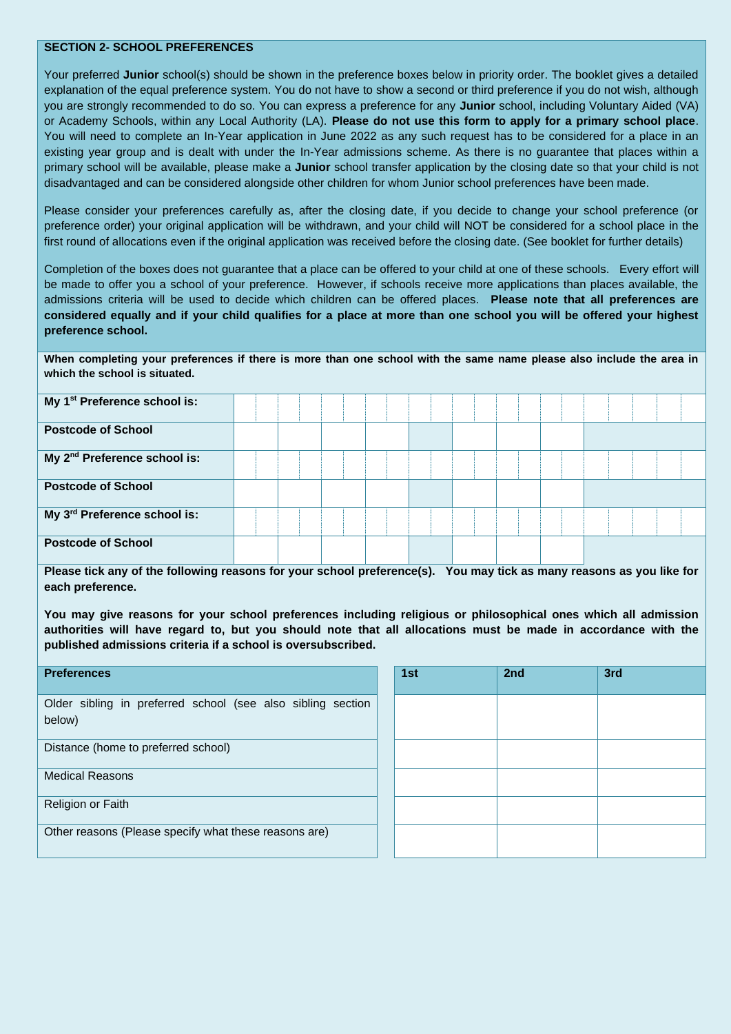## **SECTION 2- SCHOOL PREFERENCES**

Your preferred **Junior** school(s) should be shown in the preference boxes below in priority order. The booklet gives a detailed explanation of the equal preference system. You do not have to show a second or third preference if you do not wish, although you are strongly recommended to do so. You can express a preference for any **Junior** school, including Voluntary Aided (VA) or Academy Schools, within any Local Authority (LA). **Please do not use this form to apply for a primary school place**. You will need to complete an In-Year application in June 2022 as any such request has to be considered for a place in an existing year group and is dealt with under the In-Year admissions scheme. As there is no guarantee that places within a primary school will be available, please make a **Junior** school transfer application by the closing date so that your child is not disadvantaged and can be considered alongside other children for whom Junior school preferences have been made.

Please consider your preferences carefully as, after the closing date, if you decide to change your school preference (or preference order) your original application will be withdrawn, and your child will NOT be considered for a school place in the first round of allocations even if the original application was received before the closing date. (See booklet for further details)

Completion of the boxes does not guarantee that a place can be offered to your child at one of these schools. Every effort will be made to offer you a school of your preference. However, if schools receive more applications than places available, the admissions criteria will be used to decide which children can be offered places. **Please note that all preferences are considered equally and if your child qualifies for a place at more than one school you will be offered your highest preference school.**

**When completing your preferences if there is more than one school with the same name please also include the area in which the school is situated.**

| My 1 <sup>st</sup> Preference school is: |  |  |  |  |  |  |
|------------------------------------------|--|--|--|--|--|--|
| <b>Postcode of School</b>                |  |  |  |  |  |  |
| My 2 <sup>nd</sup> Preference school is: |  |  |  |  |  |  |
| <b>Postcode of School</b>                |  |  |  |  |  |  |
| My 3 <sup>rd</sup> Preference school is: |  |  |  |  |  |  |
| <b>Postcode of School</b>                |  |  |  |  |  |  |

**Please tick any of the following reasons for your school preference(s). You may tick as many reasons as you like for each preference.**

**You may give reasons for your school preferences including religious or philosophical ones which all admission authorities will have regard to, but you should note that all allocations must be made in accordance with the published admissions criteria if a school is oversubscribed.**

| <b>Preferences</b>                                                    | 1st | 2nd | 3rd |
|-----------------------------------------------------------------------|-----|-----|-----|
| Older sibling in preferred school (see also sibling section<br>below) |     |     |     |
| Distance (home to preferred school)                                   |     |     |     |
| <b>Medical Reasons</b>                                                |     |     |     |
| Religion or Faith                                                     |     |     |     |
| Other reasons (Please specify what these reasons are)                 |     |     |     |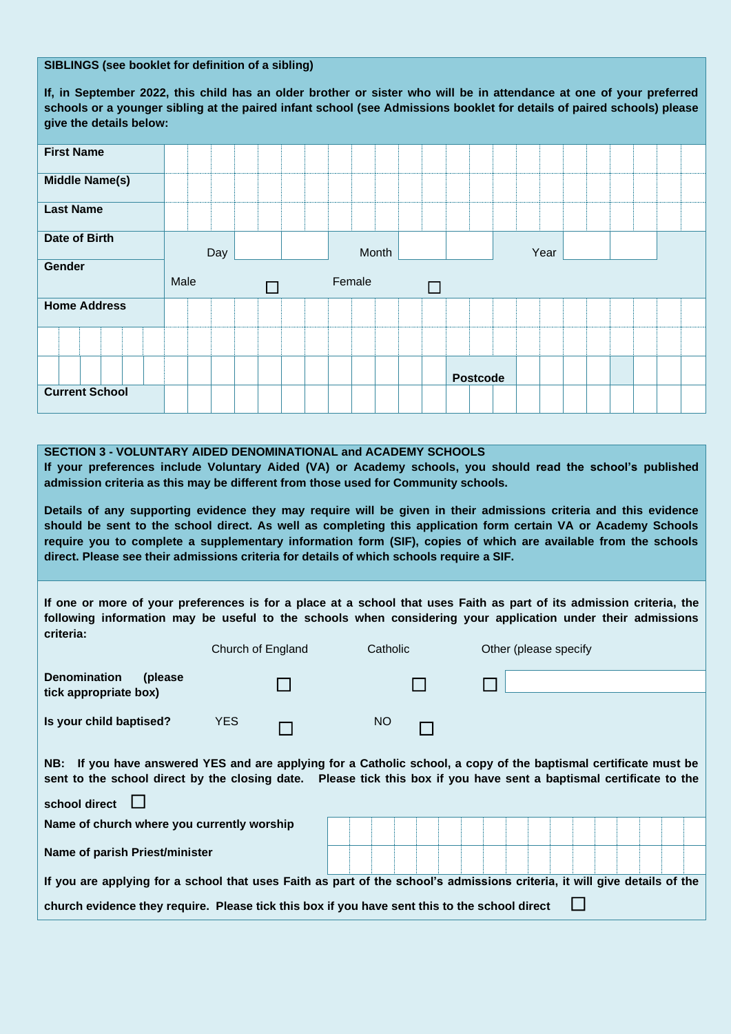## **SIBLINGS (see booklet for definition of a sibling)**

**If, in September 2022, this child has an older brother or sister who will be in attendance at one of your preferred schools or a younger sibling at the paired infant school (see Admissions booklet for details of paired schools) please give the details below:**

| <b>First Name</b>     |      |        |                 |      |  |
|-----------------------|------|--------|-----------------|------|--|
| <b>Middle Name(s)</b> |      |        |                 |      |  |
| <b>Last Name</b>      |      |        |                 |      |  |
| <b>Date of Birth</b>  | Day  | Month  |                 | Year |  |
| Gender                |      |        |                 |      |  |
|                       |      |        |                 |      |  |
|                       |      |        |                 |      |  |
|                       | Male | Female |                 |      |  |
| <b>Home Address</b>   |      |        |                 |      |  |
|                       |      |        |                 |      |  |
|                       |      |        | <b>Postcode</b> |      |  |

## **SECTION 3 - VOLUNTARY AIDED DENOMINATIONAL and ACADEMY SCHOOLS**

**If your preferences include Voluntary Aided (VA) or Academy schools, you should read the school's published admission criteria as this may be different from those used for Community schools.**

**Details of any supporting evidence they may require will be given in their admissions criteria and this evidence should be sent to the school direct. As well as completing this application form certain VA or Academy Schools require you to complete a supplementary information form (SIF), copies of which are available from the schools direct. Please see their admissions criteria for details of which schools require a SIF.** 

**If one or more of your preferences is for a place at a school that uses Faith as part of its admission criteria, the following information may be useful to the schools when considering your application under their admissions criteria:**

|                                                                                                                                                                                                                                         | Church of England | Catholic | Other (please specify                                                                                                     |  |  |  |  |  |  |  |
|-----------------------------------------------------------------------------------------------------------------------------------------------------------------------------------------------------------------------------------------|-------------------|----------|---------------------------------------------------------------------------------------------------------------------------|--|--|--|--|--|--|--|
| <b>Denomination</b><br>(please)<br>tick appropriate box)                                                                                                                                                                                |                   |          |                                                                                                                           |  |  |  |  |  |  |  |
| Is your child baptised?                                                                                                                                                                                                                 | <b>YES</b>        | NO.      |                                                                                                                           |  |  |  |  |  |  |  |
| NB: If you have answered YES and are applying for a Catholic school, a copy of the baptismal certificate must be<br>sent to the school direct by the closing date. Please tick this box if you have sent a baptismal certificate to the |                   |          |                                                                                                                           |  |  |  |  |  |  |  |
| school direct                                                                                                                                                                                                                           |                   |          |                                                                                                                           |  |  |  |  |  |  |  |
| Name of church where you currently worship                                                                                                                                                                                              |                   |          |                                                                                                                           |  |  |  |  |  |  |  |
| Name of parish Priest/minister                                                                                                                                                                                                          |                   |          |                                                                                                                           |  |  |  |  |  |  |  |
|                                                                                                                                                                                                                                         |                   |          | If you are applying for a school that uses Faith as part of the school's admissions criteria, it will give details of the |  |  |  |  |  |  |  |
| church evidence they require. Please tick this box if you have sent this to the school direct                                                                                                                                           |                   |          |                                                                                                                           |  |  |  |  |  |  |  |